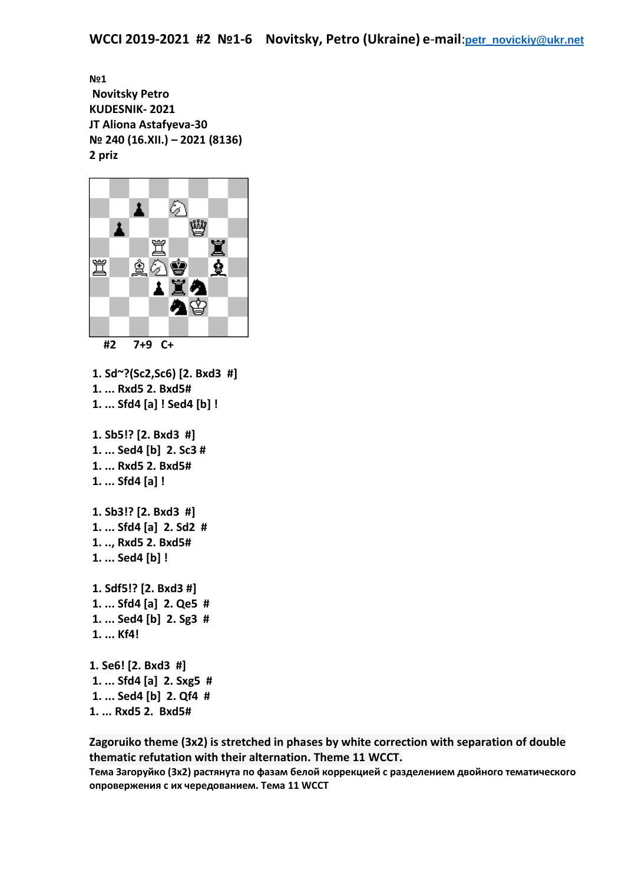**№1 Novitsky Petro KUDESNIK- 2021 JT Aliona Astafyeva-30 № 240 (16.XII.) – 2021 (8136) 2 priz**



 **#2 7+9 C+**

**1. Sd~?(Sc2,Sc6) [2. Bxd3 #] 1. ... Rxd5 2. Bxd5# 1. ... Sfd4 [a] ! Sed4 [b] ! 1. Sb5!? [2. Bxd3 #] 1. ... Sed4 [b] 2. Sc3 # 1. ... Rxd5 2. Bxd5# 1. ... Sfd4 [a] ! 1. Sb3!? [2. Bxd3 #] 1. ... Sfd4 [a] 2. Sd2 # 1. .., Rxd5 2. Bxd5# 1. ... Sed4 [b] ! 1. Sdf5!? [2. Bxd3 #] 1. ... Sfd4 [a] 2. Qe5 # 1. ... Sed4 [b] 2. Sg3 # 1. ... Kf4! 1. Se6! [2. Bxd3 #] 1. ... Sfd4 [a] 2. Sxg5 # 1. ... Sed4 [b] 2. Qf4 # 1. ... Rxd5 2. Bxd5#**

**Zagoruiko theme (3x2) is stretched in phases by white correction with separation of double thematic refutation with their alternation. Theme 11 WCCT.**

**Тема Загоруйко (3х2) растянута по фазам белой коррекцией с разделением двойного тематического опровержения с их чередованием. Тема 11 WCCT**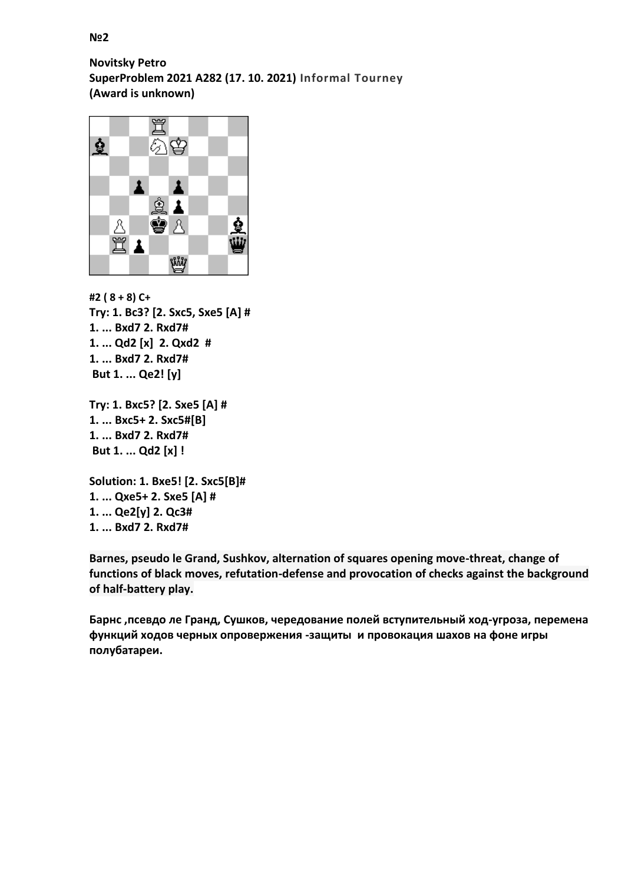## **№2**

**Novitsky Petro SuperProblem 2021 А282 (17. 10. 2021) Informal Tourney (Award is unknown)**



**#2 ( 8 + 8) С+ Try: 1. Bc3? [2. Sxc5, Sxe5 [A] # 1. ... Bxd7 2. Rxd7# 1. ... Qd2 [х] 2. Qxd2 # 1. ... Bxd7 2. Rxd7# But 1. ... Qe2! [y]**

```
Try: 1. Bxc5? [2. Sxe5 [A] #
1. ... Bxc5+ 2. Sxc5#[B]
1. ... Bxd7 2. Rxd7#
But 1. ... Qd2 [х] !
```

```
Solution: 1. Bxe5! [2. Sxc5[B]#
1. ... Qxe5+ 2. Sxe5 [A] #
1. ... Qe2[y] 2. Qc3#
1. ... Bxd7 2. Rxd7#
```
**Barnes, pseudo le Grand, Sushkov, alternation of squares opening move-threat, change of functions of black moves, refutation-defense and provocation of checks against the background of half-battery play.**

**Барнс ,псевдо ле Гранд, Сушков, чередование полей вступительный ход-угроза, перемена функций ходов черных опровержения -защиты и провокация шахов на фоне игры полубатареи.**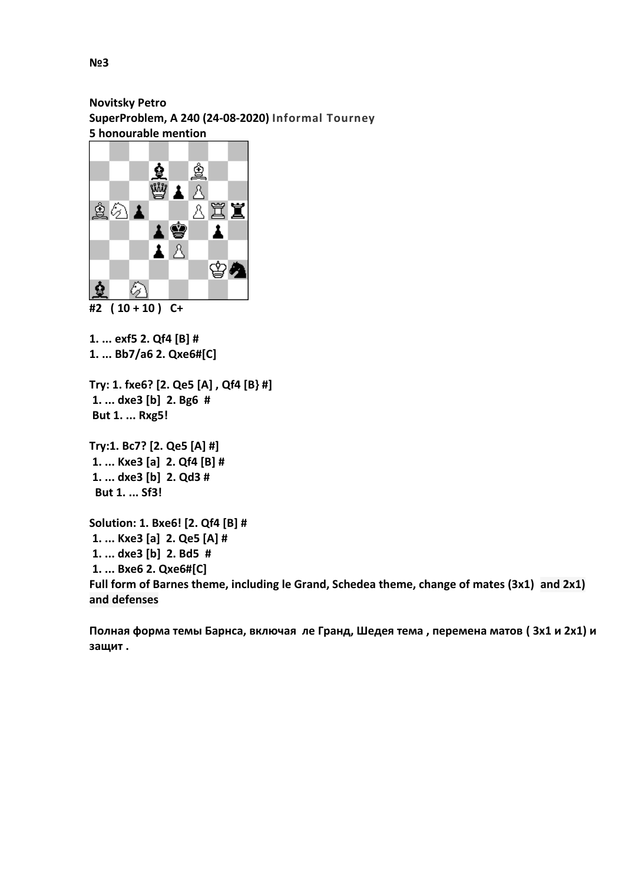**Novitsky Petro SuperProblem, А 240 (24-08-2020) Informal Tourney 5 honourable mention**



**1. ... exf5 2. Qf4 [B] #**

**1. ... Bb7/a6 2. Qxe6#[C]**

**Try: 1. fxe6? [2. Qe5 [A] , Qf4 [B} #] 1. ... dxe3 [b] 2. Bg6 # But 1. ... Rxg5!** 

**Try:1. Bc7? [2. Qe5 [A] #] 1. ... Kxe3 [a] 2. Qf4 [B] # 1. ... dxe3 [b] 2. Qd3 # But 1. ... Sf3!** 

**Solution: 1. Bxe6! [2. Qf4 [B] # 1. ... Kxe3 [a] 2. Qe5 [A] # 1. ... dxe3 [b] 2. Bd5 # 1. ... Bxe6 2. Qxe6#[C] Full form of Barnes theme, including le Grand, Schedea theme, change of mates (3x1) and 2x1) and defenses**

**Полная форма темы Барнса, включая ле Гранд, Шедея тема , перемена матов ( 3х1 и 2x1) и защит .**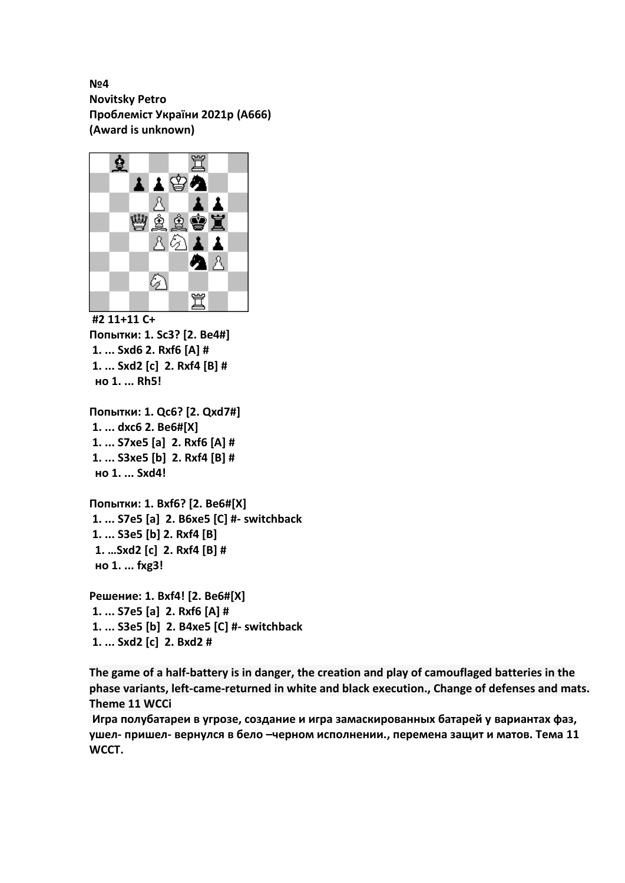**№4 Novitsky Petro Проблеміст України 2021р (А666) (Award is unknown)**



**#2 11+11 С+ Попытки: 1. Sc3? [2. Be4#] 1. ... Sxd6 2. Rxf6 [A] # 1. ... Sxd2 [c] 2. Rxf4 [B] # но 1. ... Rh5!**

```
Попытки: 1. Qc6? [2. Qxd7#]
1. ... dxc6 2. Be6#[X]
1. ... S7xe5 [a] 2. Rxf6 [A] #
1. ... S3xe5 [b] 2. Rxf4 [B] #
 но 1. ... Sxd4!
```
**Попытки: 1. Bxf6? [2. Be6#[X] 1. ... S7e5 [a] 2. B6xe5 [C] #- switchback 1. ... S3e5 [b] 2. Rxf4 [B] 1. …Sxd2 [c] 2. Rxf4 [B] # но 1. ... fxg3!** 

**Решение: 1. Bxf4! [2. Be6#[X] 1. ... S7e5 [a] 2. Rxf6 [A] # 1. ... S3e5 [b] 2. B4xe5 [C] #- switchback 1. ... Sxd2 [c] 2. Bxd2 #**

**The game of a half-battery is in danger, the creation and play of camouflaged batteries in the phase variants, left-came-returned in white and black execution., Change of defenses and mats. Theme 11 WCCi**

**Игра полубатареи в угрозе, создание и игра замаскированных батарей у вариантах фаз, ушел- пришел- вернулся в бело –черном исполнении., перемена защит и матов. Тема 11 WCCT.**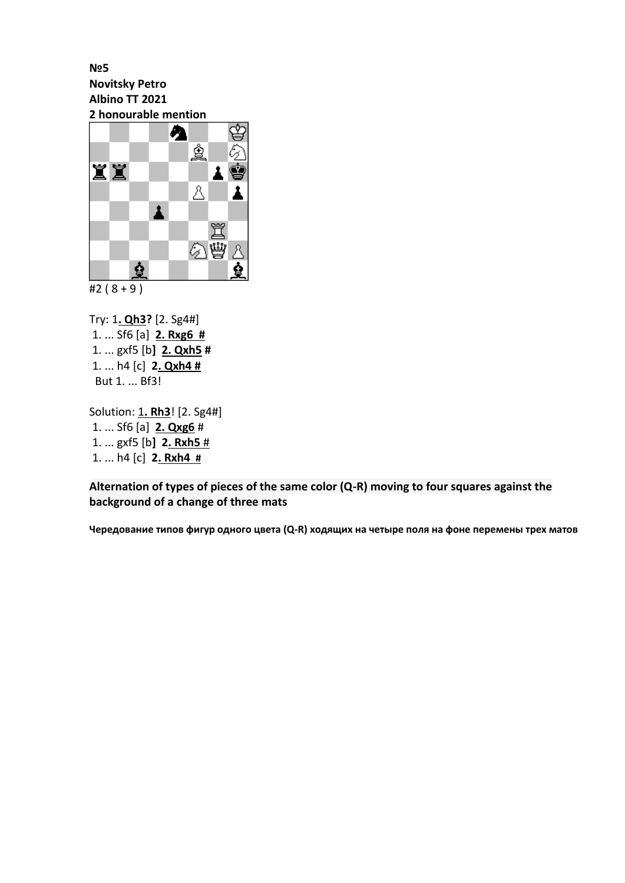**№5 Novitsky Petro Albino TT 2021 2 honourable mention**



Try: 1**. Qh3?** [2. Sg4#] 1. ... Sf6 [a] **2. Rxg6 #** 1. ... gxf5 [b**] 2. Qxh5 #** 1. ... h4 [c] **2. Qxh4 #** But 1. ... Bf3!

Solution: 1**. Rh3**! [2. Sg4#] 1. ... Sf6 [a] **2. Qxg6** # 1. ... gxf5 [b**] 2. Rxh5** # 1. ... h4 [c] **2. Rxh4 #**

**Alternation of types of pieces of the same color (Q-R) moving to four squares against the background of a change of three mats**

**Чередование типов фигур одного цвета (Q-R) ходящих на четыре поля на фоне перемены трех матов**